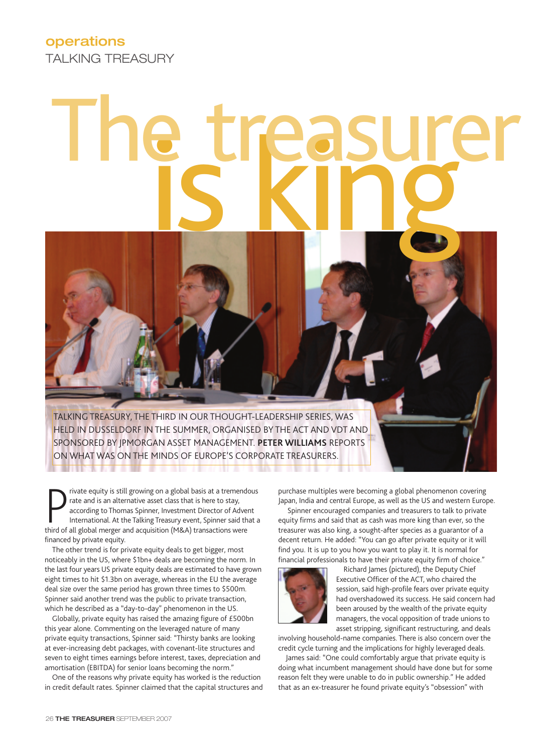## The treasurer

TALKING TREASURY, THE THIRD IN OUR THOUGHT-LEADERSHIP SERIES, WAS HELD IN DUSSELDORF IN THE SUMMER, ORGANISED BY THE ACT AND VDT AND SPONSORED BY JPMORGAN ASSET MANAGEMENT. **PETER WILLIAMS** REPORTS ON WHAT WAS ON THE MINDS OF EUROPE'S CORPORATE TREASURERS.

**The Second Second** 

Trivate equity is still growing on a global basis at a tremend<br>rate and is an alternative asset class that is here to stay,<br>according to Thomas Spinner, Investment Director of Adve<br>International. At the Talking Treasury ev rivate equity is still growing on a global basis at a tremendous rate and is an alternative asset class that is here to stay, according to Thomas Spinner, Investment Director of Advent International. At the Talking Treasury event, Spinner said that a financed by private equity.

The other trend is for private equity deals to get bigger, most noticeably in the US, where \$1bn+ deals are becoming the norm. In the last four years US private equity deals are estimated to have grown eight times to hit \$1.3bn on average, whereas in the EU the average deal size over the same period has grown three times to \$500m. Spinner said another trend was the public to private transaction, which he described as a "day-to-day" phenomenon in the US.

Globally, private equity has raised the amazing figure of £500bn this year alone. Commenting on the leveraged nature of many private equity transactions, Spinner said: "Thirsty banks are looking at ever-increasing debt packages, with covenant-lite structures and seven to eight times earnings before interest, taxes, depreciation and amortisation (EBITDA) for senior loans becoming the norm."

One of the reasons why private equity has worked is the reduction in credit default rates. Spinner claimed that the capital structures and

purchase multiples were becoming a global phenomenon covering Japan, India and central Europe, as well as the US and western Europe.

Spinner encouraged companies and treasurers to talk to private equity firms and said that as cash was more king than ever, so the treasurer was also king, a sought-after species as a guarantor of a decent return. He added: "You can go after private equity or it will find you. It is up to you how you want to play it. It is normal for financial professionals to have their private equity firm of choice."



Richard James (pictured), the Deputy Chief Executive Officer of the ACT, who chaired the session, said high-profile fears over private equity had overshadowed its success. He said concern had been aroused by the wealth of the private equity managers, the vocal opposition of trade unions to asset stripping, significant restructuring, and deals

involving household-name companies. There is also concern over the credit cycle turning and the implications for highly leveraged deals.

James said: "One could comfortably argue that private equity is doing what incumbent management should have done but for some reason felt they were unable to do in public ownership." He added that as an ex-treasurer he found private equity's "obsession" with